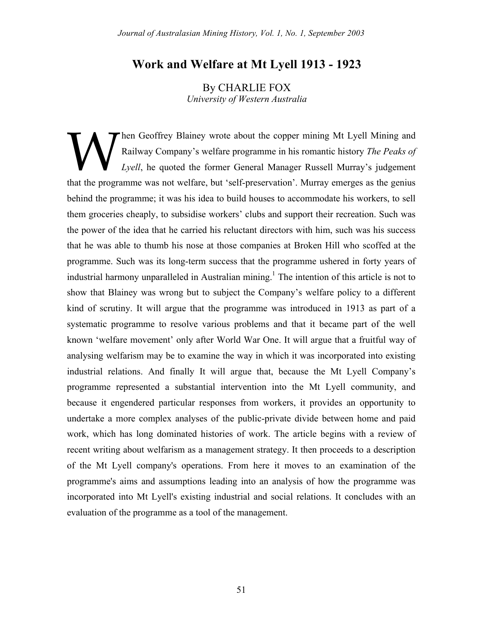# **Work and Welfare at Mt Lyell 1913 - 1923**

By CHARLIE FOX *University of Western Australia*

hen Geoffrey Blainey wrote about the copper mining Mt Lyell Mining and Railway Company's welfare programme in his romantic history *The Peaks of Lyell*, he quoted the former General Manager Russell Murray's judgement Then Geoffrey Blainey wrote about the copper mining Mt Lyell Mining and Railway Company's welfare programme in his romantic history *The Peaks of* Lyell, he quoted the former General Manager Russell Murray's judgement that behind the programme; it was his idea to build houses to accommodate his workers, to sell them groceries cheaply, to subsidise workers' clubs and support their recreation. Such was the power of the idea that he carried his reluctant directors with him, such was his success that he was able to thumb his nose at those companies at Broken Hill who scoffed at the programme. Such was its long-term success that the programme ushered in forty years of industrial harmony unparalleled in Australian mining.<sup>1</sup> The intention of this article is not to show that Blainey was wrong but to subject the Company's welfare policy to a different kind of scrutiny. It will argue that the programme was introduced in 1913 as part of a systematic programme to resolve various problems and that it became part of the well known 'welfare movement' only after World War One. It will argue that a fruitful way of analysing welfarism may be to examine the way in which it was incorporated into existing industrial relations. And finally It will argue that, because the Mt Lyell Company's programme represented a substantial intervention into the Mt Lyell community, and because it engendered particular responses from workers, it provides an opportunity to undertake a more complex analyses of the public-private divide between home and paid work, which has long dominated histories of work. The article begins with a review of recent writing about welfarism as a management strategy. It then proceeds to a description of the Mt Lyell company's operations. From here it moves to an examination of the programme's aims and assumptions leading into an analysis of how the programme was incorporated into Mt Lyell's existing industrial and social relations. It concludes with an evaluation of the programme as a tool of the management.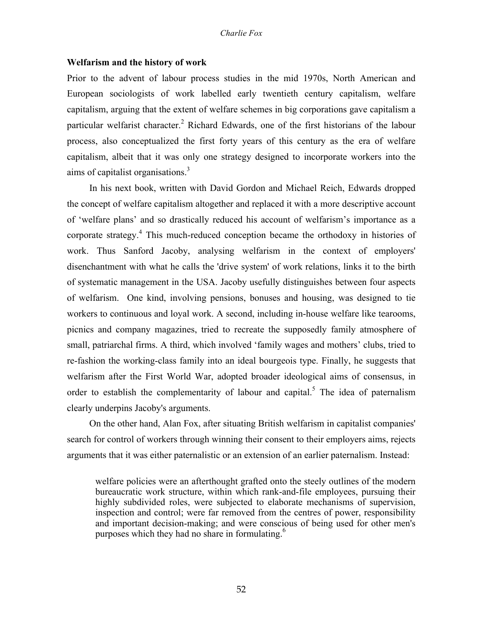# **Welfarism and the history of work**

Prior to the advent of labour process studies in the mid 1970s, North American and European sociologists of work labelled early twentieth century capitalism, welfare capitalism, arguing that the extent of welfare schemes in big corporations gave capitalism a particular welfarist character.<sup>2</sup> Richard Edwards, one of the first historians of the labour process, also conceptualized the first forty years of this century as the era of welfare capitalism, albeit that it was only one strategy designed to incorporate workers into the aims of capitalist organisations.<sup>3</sup>

In his next book, written with David Gordon and Michael Reich, Edwards dropped the concept of welfare capitalism altogether and replaced it with a more descriptive account of 'welfare plans' and so drastically reduced his account of welfarism's importance as a corporate strategy.<sup>4</sup> This much-reduced conception became the orthodoxy in histories of work. Thus Sanford Jacoby, analysing welfarism in the context of employers' disenchantment with what he calls the 'drive system' of work relations, links it to the birth of systematic management in the USA. Jacoby usefully distinguishes between four aspects of welfarism. One kind, involving pensions, bonuses and housing, was designed to tie workers to continuous and loyal work. A second, including in-house welfare like tearooms, picnics and company magazines, tried to recreate the supposedly family atmosphere of small, patriarchal firms. A third, which involved 'family wages and mothers' clubs, tried to re-fashion the working-class family into an ideal bourgeois type. Finally, he suggests that welfarism after the First World War, adopted broader ideological aims of consensus, in order to establish the complementarity of labour and capital.<sup>5</sup> The idea of paternalism clearly underpins Jacoby's arguments.

On the other hand, Alan Fox, after situating British welfarism in capitalist companies' search for control of workers through winning their consent to their employers aims, rejects arguments that it was either paternalistic or an extension of an earlier paternalism. Instead:

welfare policies were an afterthought grafted onto the steely outlines of the modern bureaucratic work structure, within which rank-and-file employees, pursuing their highly subdivided roles, were subjected to elaborate mechanisms of supervision, inspection and control; were far removed from the centres of power, responsibility and important decision-making; and were conscious of being used for other men's purposes which they had no share in formulating.<sup>6</sup>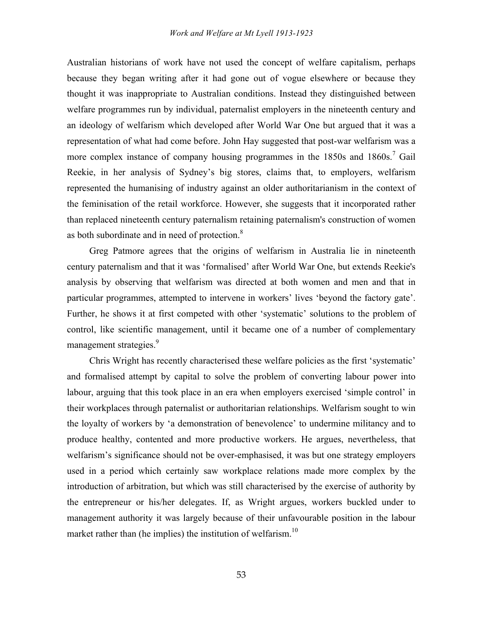Australian historians of work have not used the concept of welfare capitalism, perhaps because they began writing after it had gone out of vogue elsewhere or because they thought it was inappropriate to Australian conditions. Instead they distinguished between welfare programmes run by individual, paternalist employers in the nineteenth century and an ideology of welfarism which developed after World War One but argued that it was a representation of what had come before. John Hay suggested that post-war welfarism was a more complex instance of company housing programmes in the  $1850s$  and  $1860s$ .<sup>7</sup> Gail Reekie, in her analysis of Sydney's big stores, claims that, to employers, welfarism represented the humanising of industry against an older authoritarianism in the context of the feminisation of the retail workforce. However, she suggests that it incorporated rather than replaced nineteenth century paternalism retaining paternalism's construction of women as both subordinate and in need of protection.<sup>8</sup>

Greg Patmore agrees that the origins of welfarism in Australia lie in nineteenth century paternalism and that it was 'formalised' after World War One, but extends Reekie's analysis by observing that welfarism was directed at both women and men and that in particular programmes, attempted to intervene in workers' lives 'beyond the factory gate'. Further, he shows it at first competed with other 'systematic' solutions to the problem of control, like scientific management, until it became one of a number of complementary management strategies.<sup>9</sup>

Chris Wright has recently characterised these welfare policies as the first 'systematic' and formalised attempt by capital to solve the problem of converting labour power into labour, arguing that this took place in an era when employers exercised 'simple control' in their workplaces through paternalist or authoritarian relationships. Welfarism sought to win the loyalty of workers by 'a demonstration of benevolence' to undermine militancy and to produce healthy, contented and more productive workers. He argues, nevertheless, that welfarism's significance should not be over-emphasised, it was but one strategy employers used in a period which certainly saw workplace relations made more complex by the introduction of arbitration, but which was still characterised by the exercise of authority by the entrepreneur or his/her delegates. If, as Wright argues, workers buckled under to management authority it was largely because of their unfavourable position in the labour market rather than (he implies) the institution of welfarism.<sup>10</sup>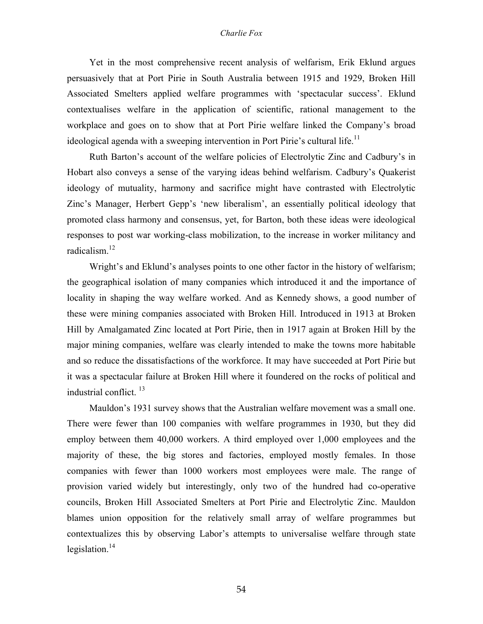Yet in the most comprehensive recent analysis of welfarism, Erik Eklund argues persuasively that at Port Pirie in South Australia between 1915 and 1929, Broken Hill Associated Smelters applied welfare programmes with 'spectacular success'. Eklund contextualises welfare in the application of scientific, rational management to the workplace and goes on to show that at Port Pirie welfare linked the Company's broad ideological agenda with a sweeping intervention in Port Pirie's cultural life.<sup>11</sup>

Ruth Barton's account of the welfare policies of Electrolytic Zinc and Cadbury's in Hobart also conveys a sense of the varying ideas behind welfarism. Cadbury's Quakerist ideology of mutuality, harmony and sacrifice might have contrasted with Electrolytic Zinc's Manager, Herbert Gepp's 'new liberalism', an essentially political ideology that promoted class harmony and consensus, yet, for Barton, both these ideas were ideological responses to post war working-class mobilization, to the increase in worker militancy and radicalism.<sup>12</sup>

Wright's and Eklund's analyses points to one other factor in the history of welfarism; the geographical isolation of many companies which introduced it and the importance of locality in shaping the way welfare worked. And as Kennedy shows, a good number of these were mining companies associated with Broken Hill. Introduced in 1913 at Broken Hill by Amalgamated Zinc located at Port Pirie, then in 1917 again at Broken Hill by the major mining companies, welfare was clearly intended to make the towns more habitable and so reduce the dissatisfactions of the workforce. It may have succeeded at Port Pirie but it was a spectacular failure at Broken Hill where it foundered on the rocks of political and industrial conflict. 13

Mauldon's 1931 survey shows that the Australian welfare movement was a small one. There were fewer than 100 companies with welfare programmes in 1930, but they did employ between them 40,000 workers. A third employed over 1,000 employees and the majority of these, the big stores and factories, employed mostly females. In those companies with fewer than 1000 workers most employees were male. The range of provision varied widely but interestingly, only two of the hundred had co-operative councils, Broken Hill Associated Smelters at Port Pirie and Electrolytic Zinc. Mauldon blames union opposition for the relatively small array of welfare programmes but contextualizes this by observing Labor's attempts to universalise welfare through state legislation. $14$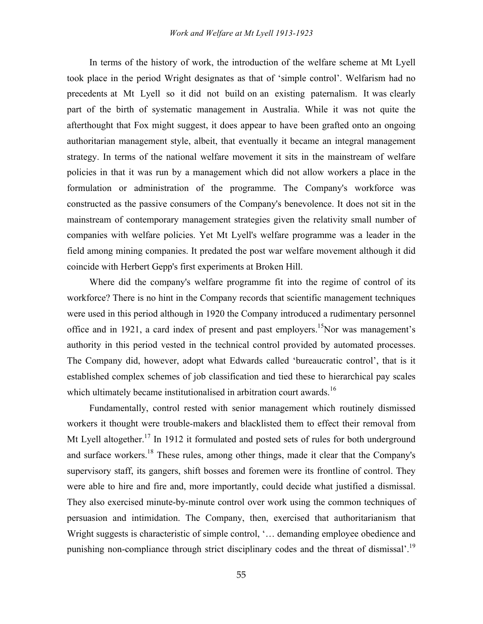In terms of the history of work, the introduction of the welfare scheme at Mt Lyell took place in the period Wright designates as that of 'simple control'. Welfarism had no precedents at Mt Lyell so it did not build on an existing paternalism. It was clearly part of the birth of systematic management in Australia. While it was not quite the afterthought that Fox might suggest, it does appear to have been grafted onto an ongoing authoritarian management style, albeit, that eventually it became an integral management strategy. In terms of the national welfare movement it sits in the mainstream of welfare policies in that it was run by a management which did not allow workers a place in the formulation or administration of the programme. The Company's workforce was constructed as the passive consumers of the Company's benevolence. It does not sit in the mainstream of contemporary management strategies given the relativity small number of companies with welfare policies. Yet Mt Lyell's welfare programme was a leader in the field among mining companies. It predated the post war welfare movement although it did coincide with Herbert Gepp's first experiments at Broken Hill.

Where did the company's welfare programme fit into the regime of control of its workforce? There is no hint in the Company records that scientific management techniques were used in this period although in 1920 the Company introduced a rudimentary personnel office and in 1921, a card index of present and past employers.<sup>15</sup>Nor was management's authority in this period vested in the technical control provided by automated processes. The Company did, however, adopt what Edwards called 'bureaucratic control', that is it established complex schemes of job classification and tied these to hierarchical pay scales which ultimately became institutionalised in arbitration court awards.<sup>16</sup>

Fundamentally, control rested with senior management which routinely dismissed workers it thought were trouble-makers and blacklisted them to effect their removal from Mt Lyell altogether.<sup>17</sup> In 1912 it formulated and posted sets of rules for both underground and surface workers.<sup>18</sup> These rules, among other things, made it clear that the Company's supervisory staff, its gangers, shift bosses and foremen were its frontline of control. They were able to hire and fire and, more importantly, could decide what justified a dismissal. They also exercised minute-by-minute control over work using the common techniques of persuasion and intimidation. The Company, then, exercised that authoritarianism that Wright suggests is characteristic of simple control, '... demanding employee obedience and punishing non-compliance through strict disciplinary codes and the threat of dismissal'.19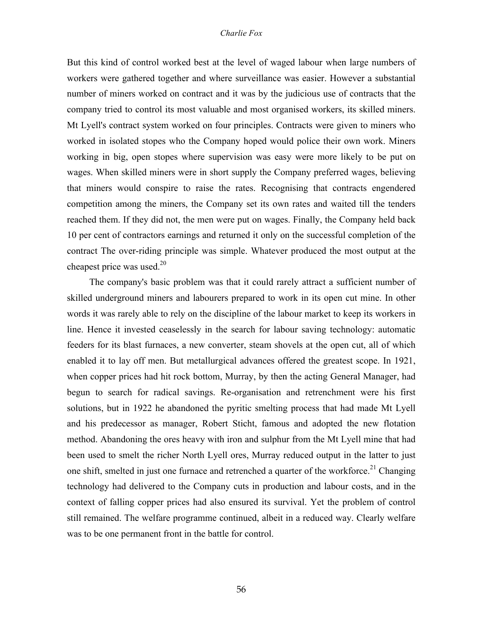But this kind of control worked best at the level of waged labour when large numbers of workers were gathered together and where surveillance was easier. However a substantial number of miners worked on contract and it was by the judicious use of contracts that the company tried to control its most valuable and most organised workers, its skilled miners. Mt Lyell's contract system worked on four principles. Contracts were given to miners who worked in isolated stopes who the Company hoped would police their own work. Miners working in big, open stopes where supervision was easy were more likely to be put on wages. When skilled miners were in short supply the Company preferred wages, believing that miners would conspire to raise the rates. Recognising that contracts engendered competition among the miners, the Company set its own rates and waited till the tenders reached them. If they did not, the men were put on wages. Finally, the Company held back 10 per cent of contractors earnings and returned it only on the successful completion of the contract The over-riding principle was simple. Whatever produced the most output at the cheapest price was used. $20$ 

The company's basic problem was that it could rarely attract a sufficient number of skilled underground miners and labourers prepared to work in its open cut mine. In other words it was rarely able to rely on the discipline of the labour market to keep its workers in line. Hence it invested ceaselessly in the search for labour saving technology: automatic feeders for its blast furnaces, a new converter, steam shovels at the open cut, all of which enabled it to lay off men. But metallurgical advances offered the greatest scope. In 1921, when copper prices had hit rock bottom, Murray, by then the acting General Manager, had begun to search for radical savings. Re-organisation and retrenchment were his first solutions, but in 1922 he abandoned the pyritic smelting process that had made Mt Lyell and his predecessor as manager, Robert Sticht, famous and adopted the new flotation method. Abandoning the ores heavy with iron and sulphur from the Mt Lyell mine that had been used to smelt the richer North Lyell ores, Murray reduced output in the latter to just one shift, smelted in just one furnace and retrenched a quarter of the workforce.<sup>21</sup> Changing technology had delivered to the Company cuts in production and labour costs, and in the context of falling copper prices had also ensured its survival. Yet the problem of control still remained. The welfare programme continued, albeit in a reduced way. Clearly welfare was to be one permanent front in the battle for control.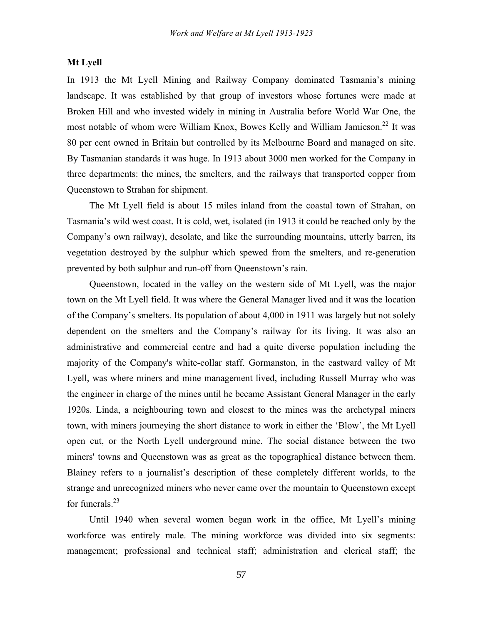# **Mt Lyell**

In 1913 the Mt Lyell Mining and Railway Company dominated Tasmania's mining landscape. It was established by that group of investors whose fortunes were made at Broken Hill and who invested widely in mining in Australia before World War One, the most notable of whom were William Knox, Bowes Kelly and William Jamieson.<sup>22</sup> It was 80 per cent owned in Britain but controlled by its Melbourne Board and managed on site. By Tasmanian standards it was huge. In 1913 about 3000 men worked for the Company in three departments: the mines, the smelters, and the railways that transported copper from Queenstown to Strahan for shipment.

The Mt Lyell field is about 15 miles inland from the coastal town of Strahan, on Tasmania's wild west coast. It is cold, wet, isolated (in 1913 it could be reached only by the Company's own railway), desolate, and like the surrounding mountains, utterly barren, its vegetation destroyed by the sulphur which spewed from the smelters, and re-generation prevented by both sulphur and run-off from Queenstown's rain.

Queenstown, located in the valley on the western side of Mt Lyell, was the major town on the Mt Lyell field. It was where the General Manager lived and it was the location of the Company's smelters. Its population of about 4,000 in 1911 was largely but not solely dependent on the smelters and the Company's railway for its living. It was also an administrative and commercial centre and had a quite diverse population including the majority of the Company's white-collar staff. Gormanston, in the eastward valley of Mt Lyell, was where miners and mine management lived, including Russell Murray who was the engineer in charge of the mines until he became Assistant General Manager in the early 1920s. Linda, a neighbouring town and closest to the mines was the archetypal miners town, with miners journeying the short distance to work in either the 'Blow', the Mt Lyell open cut, or the North Lyell underground mine. The social distance between the two miners' towns and Queenstown was as great as the topographical distance between them. Blainey refers to a journalist's description of these completely different worlds, to the strange and unrecognized miners who never came over the mountain to Queenstown except for funerals.<sup>23</sup>

Until 1940 when several women began work in the office, Mt Lyell's mining workforce was entirely male. The mining workforce was divided into six segments: management; professional and technical staff; administration and clerical staff; the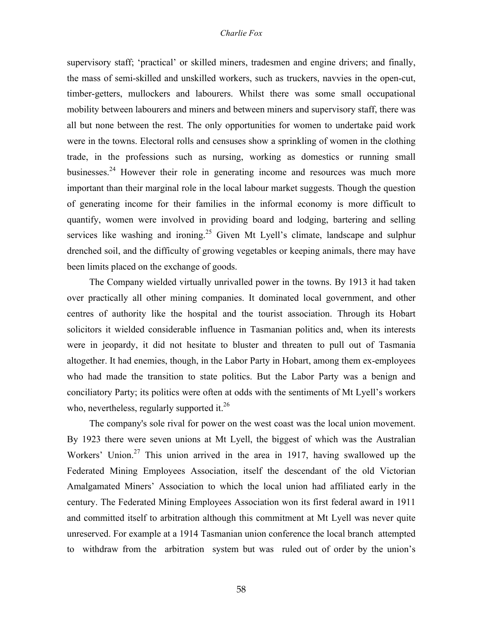supervisory staff; 'practical' or skilled miners, tradesmen and engine drivers; and finally, the mass of semi-skilled and unskilled workers, such as truckers, navvies in the open-cut, timber-getters, mullockers and labourers. Whilst there was some small occupational mobility between labourers and miners and between miners and supervisory staff, there was all but none between the rest. The only opportunities for women to undertake paid work were in the towns. Electoral rolls and censuses show a sprinkling of women in the clothing trade, in the professions such as nursing, working as domestics or running small businesses.<sup>24</sup> However their role in generating income and resources was much more important than their marginal role in the local labour market suggests. Though the question of generating income for their families in the informal economy is more difficult to quantify, women were involved in providing board and lodging, bartering and selling services like washing and ironing.<sup>25</sup> Given Mt Lyell's climate, landscape and sulphur drenched soil, and the difficulty of growing vegetables or keeping animals, there may have been limits placed on the exchange of goods.

The Company wielded virtually unrivalled power in the towns. By 1913 it had taken over practically all other mining companies. It dominated local government, and other centres of authority like the hospital and the tourist association. Through its Hobart solicitors it wielded considerable influence in Tasmanian politics and, when its interests were in jeopardy, it did not hesitate to bluster and threaten to pull out of Tasmania altogether. It had enemies, though, in the Labor Party in Hobart, among them ex-employees who had made the transition to state politics. But the Labor Party was a benign and conciliatory Party; its politics were often at odds with the sentiments of Mt Lyell's workers who, nevertheless, regularly supported it. $26$ 

The company's sole rival for power on the west coast was the local union movement. By 1923 there were seven unions at Mt Lyell, the biggest of which was the Australian Workers' Union.<sup>27</sup> This union arrived in the area in 1917, having swallowed up the Federated Mining Employees Association, itself the descendant of the old Victorian Amalgamated Miners' Association to which the local union had affiliated early in the century. The Federated Mining Employees Association won its first federal award in 1911 and committed itself to arbitration although this commitment at Mt Lyell was never quite unreserved. For example at a 1914 Tasmanian union conference the local branch attempted to withdraw from the arbitration system but was ruled out of order by the union's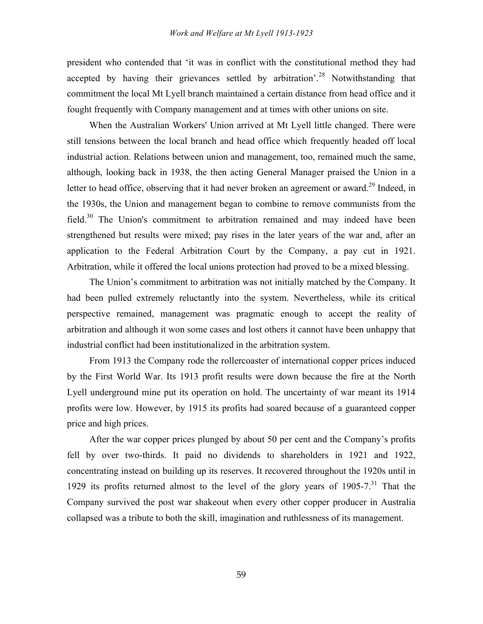president who contended that 'it was in conflict with the constitutional method they had accepted by having their grievances settled by arbitration<sup>23</sup> Notwithstanding that commitment the local Mt Lyell branch maintained a certain distance from head office and it fought frequently with Company management and at times with other unions on site.

When the Australian Workers' Union arrived at Mt Lyell little changed. There were still tensions between the local branch and head office which frequently headed off local industrial action. Relations between union and management, too, remained much the same, although, looking back in 1938, the then acting General Manager praised the Union in a letter to head office, observing that it had never broken an agreement or award.<sup>29</sup> Indeed, in the 1930s, the Union and management began to combine to remove communists from the field. $30$  The Union's commitment to arbitration remained and may indeed have been strengthened but results were mixed; pay rises in the later years of the war and, after an application to the Federal Arbitration Court by the Company, a pay cut in 1921. Arbitration, while it offered the local unions protection had proved to be a mixed blessing.

The Union's commitment to arbitration was not initially matched by the Company. It had been pulled extremely reluctantly into the system. Nevertheless, while its critical perspective remained, management was pragmatic enough to accept the reality of arbitration and although it won some cases and lost others it cannot have been unhappy that industrial conflict had been institutionalized in the arbitration system.

From 1913 the Company rode the rollercoaster of international copper prices induced by the First World War. Its 1913 profit results were down because the fire at the North Lyell underground mine put its operation on hold. The uncertainty of war meant its 1914 profits were low. However, by 1915 its profits had soared because of a guaranteed copper price and high prices.

After the war copper prices plunged by about 50 per cent and the Company's profits fell by over two-thirds. It paid no dividends to shareholders in 1921 and 1922, concentrating instead on building up its reserves. It recovered throughout the 1920s until in 1929 its profits returned almost to the level of the glory years of  $1905$ -7.<sup>31</sup> That the Company survived the post war shakeout when every other copper producer in Australia collapsed was a tribute to both the skill, imagination and ruthlessness of its management.

59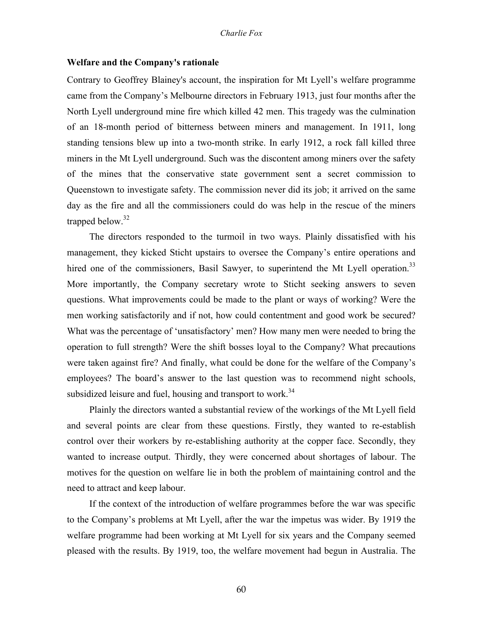# **Welfare and the Company's rationale**

Contrary to Geoffrey Blainey's account, the inspiration for Mt Lyell's welfare programme came from the Company's Melbourne directors in February 1913, just four months after the North Lyell underground mine fire which killed 42 men. This tragedy was the culmination of an 18-month period of bitterness between miners and management. In 1911, long standing tensions blew up into a two-month strike. In early 1912, a rock fall killed three miners in the Mt Lyell underground. Such was the discontent among miners over the safety of the mines that the conservative state government sent a secret commission to Queenstown to investigate safety. The commission never did its job; it arrived on the same day as the fire and all the commissioners could do was help in the rescue of the miners trapped below. $32$ 

The directors responded to the turmoil in two ways. Plainly dissatisfied with his management, they kicked Sticht upstairs to oversee the Company's entire operations and hired one of the commissioners, Basil Sawyer, to superintend the Mt Lyell operation.<sup>33</sup> More importantly, the Company secretary wrote to Sticht seeking answers to seven questions. What improvements could be made to the plant or ways of working? Were the men working satisfactorily and if not, how could contentment and good work be secured? What was the percentage of 'unsatisfactory' men? How many men were needed to bring the operation to full strength? Were the shift bosses loyal to the Company? What precautions were taken against fire? And finally, what could be done for the welfare of the Company's employees? The board's answer to the last question was to recommend night schools, subsidized leisure and fuel, housing and transport to work.<sup>34</sup>

Plainly the directors wanted a substantial review of the workings of the Mt Lyell field and several points are clear from these questions. Firstly, they wanted to re-establish control over their workers by re-establishing authority at the copper face. Secondly, they wanted to increase output. Thirdly, they were concerned about shortages of labour. The motives for the question on welfare lie in both the problem of maintaining control and the need to attract and keep labour.

If the context of the introduction of welfare programmes before the war was specific to the Company's problems at Mt Lyell, after the war the impetus was wider. By 1919 the welfare programme had been working at Mt Lyell for six years and the Company seemed pleased with the results. By 1919, too, the welfare movement had begun in Australia. The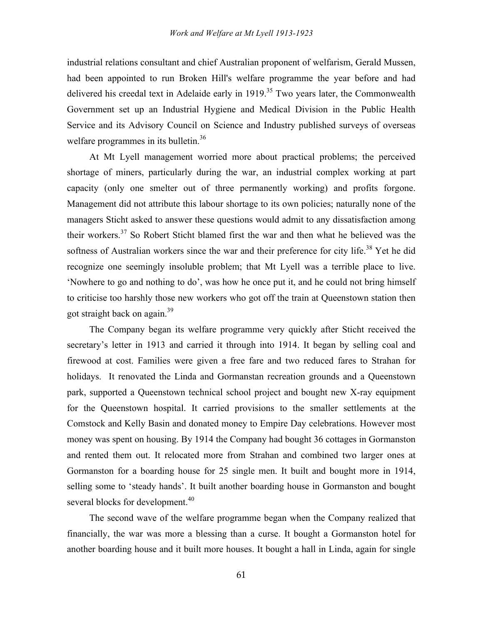industrial relations consultant and chief Australian proponent of welfarism, Gerald Mussen, had been appointed to run Broken Hill's welfare programme the year before and had delivered his creedal text in Adelaide early in 1919.<sup>35</sup> Two years later, the Commonwealth Government set up an Industrial Hygiene and Medical Division in the Public Health Service and its Advisory Council on Science and Industry published surveys of overseas welfare programmes in its bulletin.<sup>36</sup>

At Mt Lyell management worried more about practical problems; the perceived shortage of miners, particularly during the war, an industrial complex working at part capacity (only one smelter out of three permanently working) and profits forgone. Management did not attribute this labour shortage to its own policies; naturally none of the managers Sticht asked to answer these questions would admit to any dissatisfaction among their workers.<sup>37</sup> So Robert Sticht blamed first the war and then what he believed was the softness of Australian workers since the war and their preference for city life.<sup>38</sup> Yet he did recognize one seemingly insoluble problem; that Mt Lyell was a terrible place to live. 'Nowhere to go and nothing to do', was how he once put it, and he could not bring himself to criticise too harshly those new workers who got off the train at Queenstown station then got straight back on again.<sup>39</sup>

The Company began its welfare programme very quickly after Sticht received the secretary's letter in 1913 and carried it through into 1914. It began by selling coal and firewood at cost. Families were given a free fare and two reduced fares to Strahan for holidays. It renovated the Linda and Gormanstan recreation grounds and a Queenstown park, supported a Queenstown technical school project and bought new X-ray equipment for the Queenstown hospital. It carried provisions to the smaller settlements at the Comstock and Kelly Basin and donated money to Empire Day celebrations. However most money was spent on housing. By 1914 the Company had bought 36 cottages in Gormanston and rented them out. It relocated more from Strahan and combined two larger ones at Gormanston for a boarding house for 25 single men. It built and bought more in 1914, selling some to 'steady hands'. It built another boarding house in Gormanston and bought several blocks for development.<sup>40</sup>

The second wave of the welfare programme began when the Company realized that financially, the war was more a blessing than a curse. It bought a Gormanston hotel for another boarding house and it built more houses. It bought a hall in Linda, again for single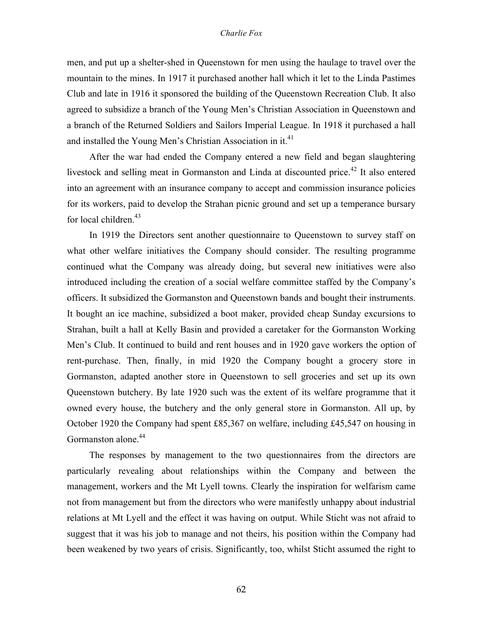men, and put up a shelter-shed in Queenstown for men using the haulage to travel over the mountain to the mines. In 1917 it purchased another hall which it let to the Linda Pastimes Club and late in 1916 it sponsored the building of the Queenstown Recreation Club. It also agreed to subsidize a branch of the Young Men's Christian Association in Queenstown and a branch of the Returned Soldiers and Sailors Imperial League. In 1918 it purchased a hall and installed the Young Men's Christian Association in it.<sup>41</sup>

After the war had ended the Company entered a new field and began slaughtering livestock and selling meat in Gormanston and Linda at discounted price.<sup>42</sup> It also entered into an agreement with an insurance company to accept and commission insurance policies for its workers, paid to develop the Strahan picnic ground and set up a temperance bursary for local children.<sup>43</sup>

In 1919 the Directors sent another questionnaire to Queenstown to survey staff on what other welfare initiatives the Company should consider. The resulting programme continued what the Company was already doing, but several new initiatives were also introduced including the creation of a social welfare committee staffed by the Company's officers. It subsidized the Gormanston and Queenstown bands and bought their instruments. It bought an ice machine, subsidized a boot maker, provided cheap Sunday excursions to Strahan, built a hall at Kelly Basin and provided a caretaker for the Gormanston Working Men's Club. It continued to build and rent houses and in 1920 gave workers the option of rent-purchase. Then, finally, in mid 1920 the Company bought a grocery store in Gormanston, adapted another store in Queenstown to sell groceries and set up its own Queenstown butchery. By late 1920 such was the extent of its welfare programme that it owned every house, the butchery and the only general store in Gormanston. All up, by October 1920 the Company had spent £85,367 on welfare, including £45,547 on housing in Gormanston alone.<sup>44</sup>

The responses by management to the two questionnaires from the directors are particularly revealing about relationships within the Company and between the management, workers and the Mt Lyell towns. Clearly the inspiration for welfarism came not from management but from the directors who were manifestly unhappy about industrial relations at Mt Lyell and the effect it was having on output. While Sticht was not afraid to suggest that it was his job to manage and not theirs, his position within the Company had been weakened by two years of crisis. Significantly, too, whilst Sticht assumed the right to

62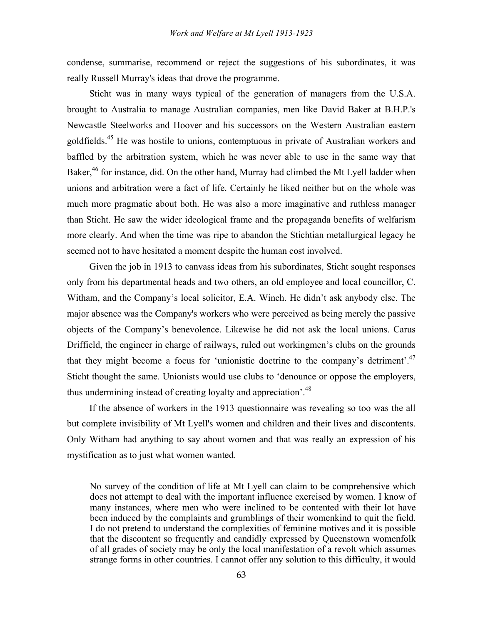condense, summarise, recommend or reject the suggestions of his subordinates, it was really Russell Murray's ideas that drove the programme.

Sticht was in many ways typical of the generation of managers from the U.S.A. brought to Australia to manage Australian companies, men like David Baker at B.H.P.'s Newcastle Steelworks and Hoover and his successors on the Western Australian eastern goldfields.45 He was hostile to unions, contemptuous in private of Australian workers and baffled by the arbitration system, which he was never able to use in the same way that Baker,<sup>46</sup> for instance, did. On the other hand, Murray had climbed the Mt Lyell ladder when unions and arbitration were a fact of life. Certainly he liked neither but on the whole was much more pragmatic about both. He was also a more imaginative and ruthless manager than Sticht. He saw the wider ideological frame and the propaganda benefits of welfarism more clearly. And when the time was ripe to abandon the Stichtian metallurgical legacy he seemed not to have hesitated a moment despite the human cost involved.

Given the job in 1913 to canvass ideas from his subordinates, Sticht sought responses only from his departmental heads and two others, an old employee and local councillor, C. Witham, and the Company's local solicitor, E.A. Winch. He didn't ask anybody else. The major absence was the Company's workers who were perceived as being merely the passive objects of the Company's benevolence. Likewise he did not ask the local unions. Carus Driffield, the engineer in charge of railways, ruled out workingmen's clubs on the grounds that they might become a focus for 'unionistic doctrine to the company's detriment'.47 Sticht thought the same. Unionists would use clubs to 'denounce or oppose the employers, thus undermining instead of creating loyalty and appreciation<sup>'.48</sup>

If the absence of workers in the 1913 questionnaire was revealing so too was the all but complete invisibility of Mt Lyell's women and children and their lives and discontents. Only Witham had anything to say about women and that was really an expression of his mystification as to just what women wanted.

No survey of the condition of life at Mt Lyell can claim to be comprehensive which does not attempt to deal with the important influence exercised by women. I know of many instances, where men who were inclined to be contented with their lot have been induced by the complaints and grumblings of their womenkind to quit the field. I do not pretend to understand the complexities of feminine motives and it is possible that the discontent so frequently and candidly expressed by Queenstown womenfolk of all grades of society may be only the local manifestation of a revolt which assumes strange forms in other countries. I cannot offer any solution to this difficulty, it would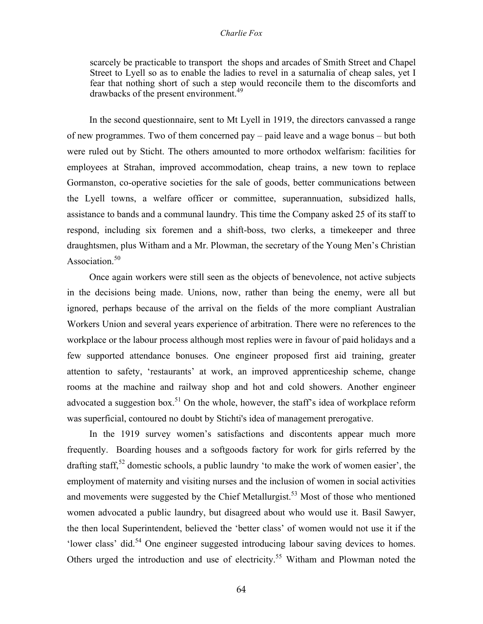scarcely be practicable to transport the shops and arcades of Smith Street and Chapel Street to Lyell so as to enable the ladies to revel in a saturnalia of cheap sales, yet I fear that nothing short of such a step would reconcile them to the discomforts and drawbacks of the present environment.<sup>49</sup>

In the second questionnaire, sent to Mt Lyell in 1919, the directors canvassed a range of new programmes. Two of them concerned pay – paid leave and a wage bonus – but both were ruled out by Sticht. The others amounted to more orthodox welfarism: facilities for employees at Strahan, improved accommodation, cheap trains, a new town to replace Gormanston, co-operative societies for the sale of goods, better communications between the Lyell towns, a welfare officer or committee, superannuation, subsidized halls, assistance to bands and a communal laundry. This time the Company asked 25 of its staff to respond, including six foremen and a shift-boss, two clerks, a timekeeper and three draughtsmen, plus Witham and a Mr. Plowman, the secretary of the Young Men's Christian Association.<sup>50</sup>

Once again workers were still seen as the objects of benevolence, not active subjects in the decisions being made. Unions, now, rather than being the enemy, were all but ignored, perhaps because of the arrival on the fields of the more compliant Australian Workers Union and several years experience of arbitration. There were no references to the workplace or the labour process although most replies were in favour of paid holidays and a few supported attendance bonuses. One engineer proposed first aid training, greater attention to safety, 'restaurants' at work, an improved apprenticeship scheme, change rooms at the machine and railway shop and hot and cold showers. Another engineer advocated a suggestion box.<sup>51</sup> On the whole, however, the staff's idea of workplace reform was superficial, contoured no doubt by Stichti's idea of management prerogative.

In the 1919 survey women's satisfactions and discontents appear much more frequently. Boarding houses and a softgoods factory for work for girls referred by the drafting staff,<sup>52</sup> domestic schools, a public laundry 'to make the work of women easier', the employment of maternity and visiting nurses and the inclusion of women in social activities and movements were suggested by the Chief Metallurgist.<sup>53</sup> Most of those who mentioned women advocated a public laundry, but disagreed about who would use it. Basil Sawyer, the then local Superintendent, believed the 'better class' of women would not use it if the 'lower class' did.<sup>54</sup> One engineer suggested introducing labour saving devices to homes. Others urged the introduction and use of electricity.<sup>55</sup> Witham and Plowman noted the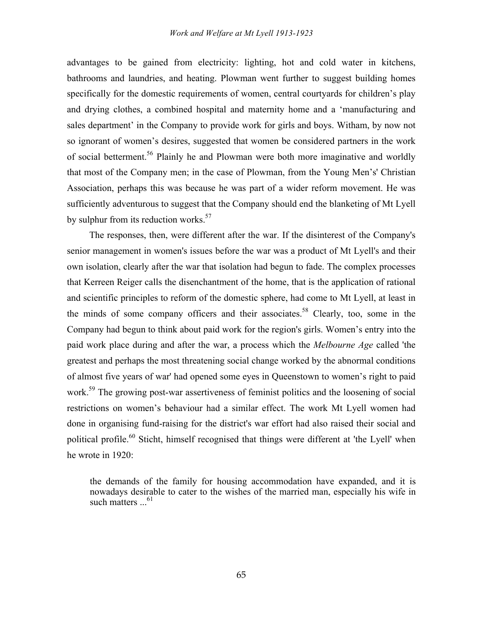advantages to be gained from electricity: lighting, hot and cold water in kitchens, bathrooms and laundries, and heating. Plowman went further to suggest building homes specifically for the domestic requirements of women, central courtyards for children's play and drying clothes, a combined hospital and maternity home and a 'manufacturing and sales department' in the Company to provide work for girls and boys. Witham, by now not so ignorant of women's desires, suggested that women be considered partners in the work of social betterment.56 Plainly he and Plowman were both more imaginative and worldly that most of the Company men; in the case of Plowman, from the Young Men's' Christian Association, perhaps this was because he was part of a wider reform movement. He was sufficiently adventurous to suggest that the Company should end the blanketing of Mt Lyell by sulphur from its reduction works.<sup>57</sup>

The responses, then, were different after the war. If the disinterest of the Company's senior management in women's issues before the war was a product of Mt Lyell's and their own isolation, clearly after the war that isolation had begun to fade. The complex processes that Kerreen Reiger calls the disenchantment of the home, that is the application of rational and scientific principles to reform of the domestic sphere, had come to Mt Lyell, at least in the minds of some company officers and their associates.<sup>58</sup> Clearly, too, some in the Company had begun to think about paid work for the region's girls. Women's entry into the paid work place during and after the war, a process which the *Melbourne Age* called 'the greatest and perhaps the most threatening social change worked by the abnormal conditions of almost five years of war' had opened some eyes in Queenstown to women's right to paid work.<sup>59</sup> The growing post-war assertiveness of feminist politics and the loosening of social restrictions on women's behaviour had a similar effect. The work Mt Lyell women had done in organising fund-raising for the district's war effort had also raised their social and political profile.<sup>60</sup> Sticht, himself recognised that things were different at 'the Lyell' when he wrote in 1920:

the demands of the family for housing accommodation have expanded, and it is nowadays desirable to cater to the wishes of the married man, especially his wife in such matters  $\ldots$ <sup>61</sup>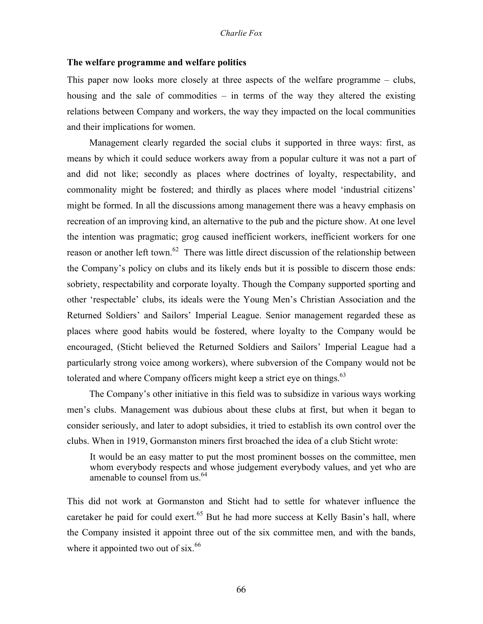# **The welfare programme and welfare politics**

This paper now looks more closely at three aspects of the welfare programme – clubs, housing and the sale of commodities – in terms of the way they altered the existing relations between Company and workers, the way they impacted on the local communities and their implications for women.

Management clearly regarded the social clubs it supported in three ways: first, as means by which it could seduce workers away from a popular culture it was not a part of and did not like; secondly as places where doctrines of loyalty, respectability, and commonality might be fostered; and thirdly as places where model 'industrial citizens' might be formed. In all the discussions among management there was a heavy emphasis on recreation of an improving kind, an alternative to the pub and the picture show. At one level the intention was pragmatic; grog caused inefficient workers, inefficient workers for one reason or another left town.<sup>62</sup> There was little direct discussion of the relationship between the Company's policy on clubs and its likely ends but it is possible to discern those ends: sobriety, respectability and corporate loyalty. Though the Company supported sporting and other 'respectable' clubs, its ideals were the Young Men's Christian Association and the Returned Soldiers' and Sailors' Imperial League. Senior management regarded these as places where good habits would be fostered, where loyalty to the Company would be encouraged, (Sticht believed the Returned Soldiers and Sailors' Imperial League had a particularly strong voice among workers), where subversion of the Company would not be tolerated and where Company officers might keep a strict eye on things.<sup>63</sup>

The Company's other initiative in this field was to subsidize in various ways working men's clubs. Management was dubious about these clubs at first, but when it began to consider seriously, and later to adopt subsidies, it tried to establish its own control over the clubs. When in 1919, Gormanston miners first broached the idea of a club Sticht wrote:

It would be an easy matter to put the most prominent bosses on the committee, men whom everybody respects and whose judgement everybody values, and yet who are amenable to counsel from us.<sup>64</sup>

This did not work at Gormanston and Sticht had to settle for whatever influence the caretaker he paid for could exert.<sup>65</sup> But he had more success at Kelly Basin's hall, where the Company insisted it appoint three out of the six committee men, and with the bands, where it appointed two out of  $s$ ix.<sup>66</sup>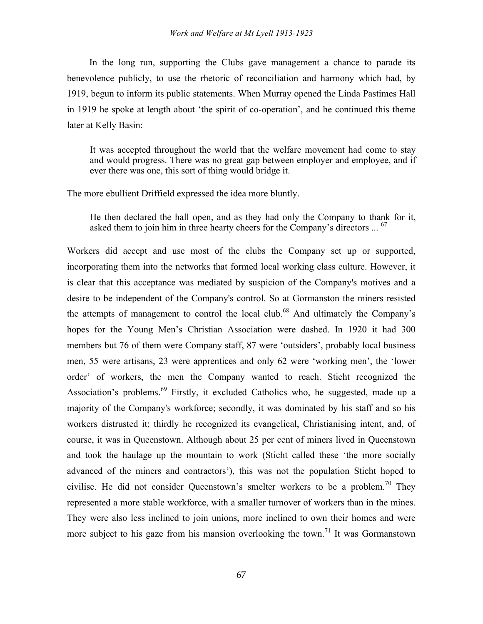# *Work and Welfare at Mt Lyell 1913-1923*

In the long run, supporting the Clubs gave management a chance to parade its benevolence publicly, to use the rhetoric of reconciliation and harmony which had, by 1919, begun to inform its public statements. When Murray opened the Linda Pastimes Hall in 1919 he spoke at length about 'the spirit of co-operation', and he continued this theme later at Kelly Basin:

It was accepted throughout the world that the welfare movement had come to stay and would progress. There was no great gap between employer and employee, and if ever there was one, this sort of thing would bridge it.

The more ebullient Driffield expressed the idea more bluntly.

He then declared the hall open, and as they had only the Company to thank for it, asked them to join him in three hearty cheers for the Company's directors ... <sup>67</sup>

Workers did accept and use most of the clubs the Company set up or supported, incorporating them into the networks that formed local working class culture. However, it is clear that this acceptance was mediated by suspicion of the Company's motives and a desire to be independent of the Company's control. So at Gormanston the miners resisted the attempts of management to control the local club.68 And ultimately the Company's hopes for the Young Men's Christian Association were dashed. In 1920 it had 300 members but 76 of them were Company staff, 87 were 'outsiders', probably local business men, 55 were artisans, 23 were apprentices and only 62 were 'working men', the 'lower order' of workers, the men the Company wanted to reach. Sticht recognized the Association's problems.<sup>69</sup> Firstly, it excluded Catholics who, he suggested, made up a majority of the Company's workforce; secondly, it was dominated by his staff and so his workers distrusted it; thirdly he recognized its evangelical, Christianising intent, and, of course, it was in Queenstown. Although about 25 per cent of miners lived in Queenstown and took the haulage up the mountain to work (Sticht called these 'the more socially advanced of the miners and contractors'), this was not the population Sticht hoped to civilise. He did not consider Queenstown's smelter workers to be a problem.<sup>70</sup> They represented a more stable workforce, with a smaller turnover of workers than in the mines. They were also less inclined to join unions, more inclined to own their homes and were more subject to his gaze from his mansion overlooking the town.<sup>71</sup> It was Gormanstown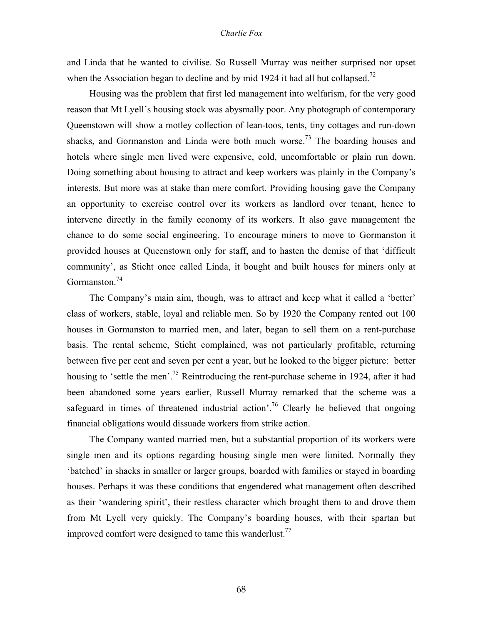and Linda that he wanted to civilise. So Russell Murray was neither surprised nor upset when the Association began to decline and by mid 1924 it had all but collapsed.<sup>72</sup>

Housing was the problem that first led management into welfarism, for the very good reason that Mt Lyell's housing stock was abysmally poor. Any photograph of contemporary Queenstown will show a motley collection of lean-toos, tents, tiny cottages and run-down shacks, and Gormanston and Linda were both much worse.<sup>73</sup> The boarding houses and hotels where single men lived were expensive, cold, uncomfortable or plain run down. Doing something about housing to attract and keep workers was plainly in the Company's interests. But more was at stake than mere comfort. Providing housing gave the Company an opportunity to exercise control over its workers as landlord over tenant, hence to intervene directly in the family economy of its workers. It also gave management the chance to do some social engineering. To encourage miners to move to Gormanston it provided houses at Queenstown only for staff, and to hasten the demise of that 'difficult community', as Sticht once called Linda, it bought and built houses for miners only at Gormanston.<sup>74</sup>

The Company's main aim, though, was to attract and keep what it called a 'better' class of workers, stable, loyal and reliable men. So by 1920 the Company rented out 100 houses in Gormanston to married men, and later, began to sell them on a rent-purchase basis. The rental scheme, Sticht complained, was not particularly profitable, returning between five per cent and seven per cent a year, but he looked to the bigger picture: better housing to 'settle the men'.<sup>75</sup> Reintroducing the rent-purchase scheme in 1924, after it had been abandoned some years earlier, Russell Murray remarked that the scheme was a safeguard in times of threatened industrial action'.<sup>76</sup> Clearly he believed that ongoing financial obligations would dissuade workers from strike action.

The Company wanted married men, but a substantial proportion of its workers were single men and its options regarding housing single men were limited. Normally they 'batched' in shacks in smaller or larger groups, boarded with families or stayed in boarding houses. Perhaps it was these conditions that engendered what management often described as their 'wandering spirit', their restless character which brought them to and drove them from Mt Lyell very quickly. The Company's boarding houses, with their spartan but improved comfort were designed to tame this wanderlust.<sup>77</sup>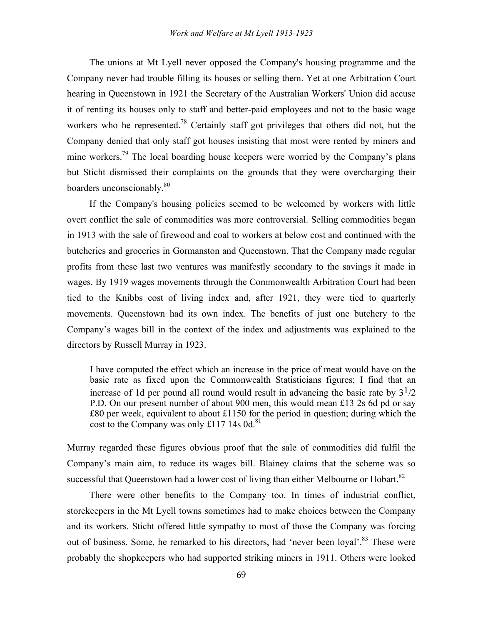The unions at Mt Lyell never opposed the Company's housing programme and the Company never had trouble filling its houses or selling them. Yet at one Arbitration Court hearing in Queenstown in 1921 the Secretary of the Australian Workers' Union did accuse it of renting its houses only to staff and better-paid employees and not to the basic wage workers who he represented.<sup>78</sup> Certainly staff got privileges that others did not, but the Company denied that only staff got houses insisting that most were rented by miners and mine workers.<sup>79</sup> The local boarding house keepers were worried by the Company's plans but Sticht dismissed their complaints on the grounds that they were overcharging their boarders unconscionably.<sup>80</sup>

If the Company's housing policies seemed to be welcomed by workers with little overt conflict the sale of commodities was more controversial. Selling commodities began in 1913 with the sale of firewood and coal to workers at below cost and continued with the butcheries and groceries in Gormanston and Queenstown. That the Company made regular profits from these last two ventures was manifestly secondary to the savings it made in wages. By 1919 wages movements through the Commonwealth Arbitration Court had been tied to the Knibbs cost of living index and, after 1921, they were tied to quarterly movements. Queenstown had its own index. The benefits of just one butchery to the Company's wages bill in the context of the index and adjustments was explained to the directors by Russell Murray in 1923.

I have computed the effect which an increase in the price of meat would have on the basic rate as fixed upon the Commonwealth Statisticians figures; I find that an increase of 1d per pound all round would result in advancing the basic rate by  $3^{1/2}$ P.D. On our present number of about 900 men, this would mean £13 2s 6d pd or say £80 per week, equivalent to about £1150 for the period in question; during which the cost to the Company was only £117 14s 0d.<sup>81</sup>

Murray regarded these figures obvious proof that the sale of commodities did fulfil the Company's main aim, to reduce its wages bill. Blainey claims that the scheme was so successful that Queenstown had a lower cost of living than either Melbourne or Hobart.<sup>82</sup>

There were other benefits to the Company too. In times of industrial conflict, storekeepers in the Mt Lyell towns sometimes had to make choices between the Company and its workers. Sticht offered little sympathy to most of those the Company was forcing out of business. Some, he remarked to his directors, had 'never been loyal'.<sup>83</sup> These were probably the shopkeepers who had supported striking miners in 1911. Others were looked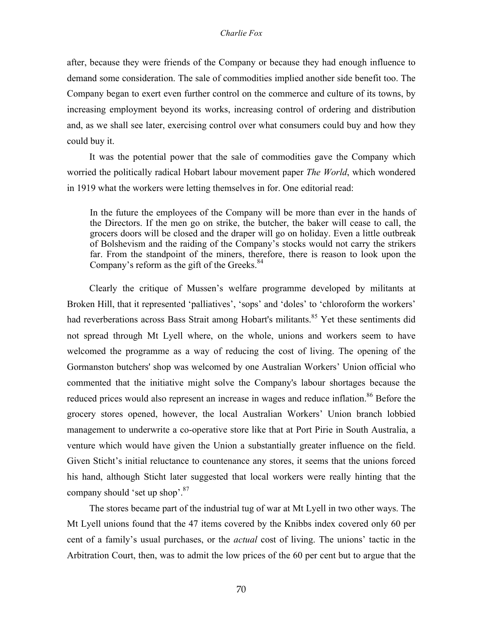after, because they were friends of the Company or because they had enough influence to demand some consideration. The sale of commodities implied another side benefit too. The Company began to exert even further control on the commerce and culture of its towns, by increasing employment beyond its works, increasing control of ordering and distribution and, as we shall see later, exercising control over what consumers could buy and how they could buy it.

It was the potential power that the sale of commodities gave the Company which worried the politically radical Hobart labour movement paper *The World*, which wondered in 1919 what the workers were letting themselves in for. One editorial read:

In the future the employees of the Company will be more than ever in the hands of the Directors. If the men go on strike, the butcher, the baker will cease to call, the grocers doors will be closed and the draper will go on holiday. Even a little outbreak of Bolshevism and the raiding of the Company's stocks would not carry the strikers far. From the standpoint of the miners, therefore, there is reason to look upon the Company's reform as the gift of the Greeks. $84$ 

Clearly the critique of Mussen's welfare programme developed by militants at Broken Hill, that it represented 'palliatives', 'sops' and 'doles' to 'chloroform the workers' had reverberations across Bass Strait among Hobart's militants.<sup>85</sup> Yet these sentiments did not spread through Mt Lyell where, on the whole, unions and workers seem to have welcomed the programme as a way of reducing the cost of living. The opening of the Gormanston butchers' shop was welcomed by one Australian Workers' Union official who commented that the initiative might solve the Company's labour shortages because the reduced prices would also represent an increase in wages and reduce inflation.<sup>86</sup> Before the grocery stores opened, however, the local Australian Workers' Union branch lobbied management to underwrite a co-operative store like that at Port Pirie in South Australia, a venture which would have given the Union a substantially greater influence on the field. Given Sticht's initial reluctance to countenance any stores, it seems that the unions forced his hand, although Sticht later suggested that local workers were really hinting that the company should 'set up shop'.87

The stores became part of the industrial tug of war at Mt Lyell in two other ways. The Mt Lyell unions found that the 47 items covered by the Knibbs index covered only 60 per cent of a family's usual purchases, or the *actual* cost of living. The unions' tactic in the Arbitration Court, then, was to admit the low prices of the 60 per cent but to argue that the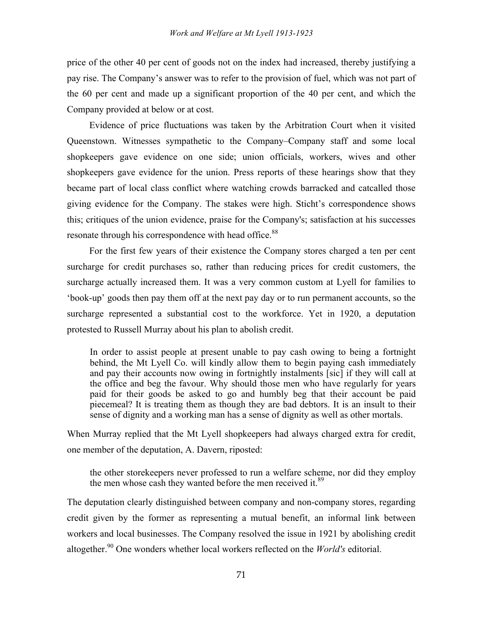price of the other 40 per cent of goods not on the index had increased, thereby justifying a pay rise. The Company's answer was to refer to the provision of fuel, which was not part of the 60 per cent and made up a significant proportion of the 40 per cent, and which the Company provided at below or at cost.

Evidence of price fluctuations was taken by the Arbitration Court when it visited Queenstown. Witnesses sympathetic to the Company–Company staff and some local shopkeepers gave evidence on one side; union officials, workers, wives and other shopkeepers gave evidence for the union. Press reports of these hearings show that they became part of local class conflict where watching crowds barracked and catcalled those giving evidence for the Company. The stakes were high. Sticht's correspondence shows this; critiques of the union evidence, praise for the Company's; satisfaction at his successes resonate through his correspondence with head office.<sup>88</sup>

For the first few years of their existence the Company stores charged a ten per cent surcharge for credit purchases so, rather than reducing prices for credit customers, the surcharge actually increased them. It was a very common custom at Lyell for families to 'book-up' goods then pay them off at the next pay day or to run permanent accounts, so the surcharge represented a substantial cost to the workforce. Yet in 1920, a deputation protested to Russell Murray about his plan to abolish credit.

In order to assist people at present unable to pay cash owing to being a fortnight behind, the Mt Lyell Co. will kindly allow them to begin paying cash immediately and pay their accounts now owing in fortnightly instalments [sic] if they will call at the office and beg the favour. Why should those men who have regularly for years paid for their goods be asked to go and humbly beg that their account be paid piecemeal? It is treating them as though they are bad debtors. It is an insult to their sense of dignity and a working man has a sense of dignity as well as other mortals.

When Murray replied that the Mt Lyell shopkeepers had always charged extra for credit, one member of the deputation, A. Davern, riposted:

the other storekeepers never professed to run a welfare scheme, nor did they employ the men whose cash they wanted before the men received it.<sup>89</sup>

The deputation clearly distinguished between company and non-company stores, regarding credit given by the former as representing a mutual benefit, an informal link between workers and local businesses. The Company resolved the issue in 1921 by abolishing credit altogether.<sup>90</sup> One wonders whether local workers reflected on the *World's* editorial.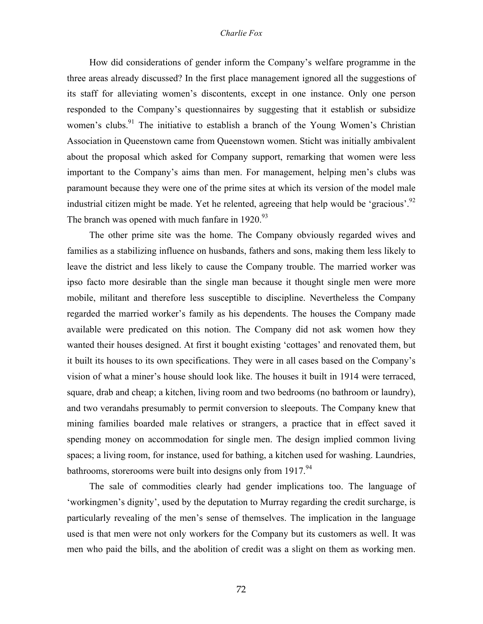How did considerations of gender inform the Company's welfare programme in the three areas already discussed? In the first place management ignored all the suggestions of its staff for alleviating women's discontents, except in one instance. Only one person responded to the Company's questionnaires by suggesting that it establish or subsidize women's clubs.<sup>91</sup> The initiative to establish a branch of the Young Women's Christian Association in Queenstown came from Queenstown women. Sticht was initially ambivalent about the proposal which asked for Company support, remarking that women were less important to the Company's aims than men. For management, helping men's clubs was paramount because they were one of the prime sites at which its version of the model male industrial citizen might be made. Yet he relented, agreeing that help would be 'gracious'.<sup>92</sup> The branch was opened with much fanfare in  $1920^{93}$ 

The other prime site was the home. The Company obviously regarded wives and families as a stabilizing influence on husbands, fathers and sons, making them less likely to leave the district and less likely to cause the Company trouble. The married worker was ipso facto more desirable than the single man because it thought single men were more mobile, militant and therefore less susceptible to discipline. Nevertheless the Company regarded the married worker's family as his dependents. The houses the Company made available were predicated on this notion. The Company did not ask women how they wanted their houses designed. At first it bought existing 'cottages' and renovated them, but it built its houses to its own specifications. They were in all cases based on the Company's vision of what a miner's house should look like. The houses it built in 1914 were terraced, square, drab and cheap; a kitchen, living room and two bedrooms (no bathroom or laundry), and two verandahs presumably to permit conversion to sleepouts. The Company knew that mining families boarded male relatives or strangers, a practice that in effect saved it spending money on accommodation for single men. The design implied common living spaces; a living room, for instance, used for bathing, a kitchen used for washing. Laundries, bathrooms, storerooms were built into designs only from 1917.<sup>94</sup>

The sale of commodities clearly had gender implications too. The language of 'workingmen's dignity', used by the deputation to Murray regarding the credit surcharge, is particularly revealing of the men's sense of themselves. The implication in the language used is that men were not only workers for the Company but its customers as well. It was men who paid the bills, and the abolition of credit was a slight on them as working men.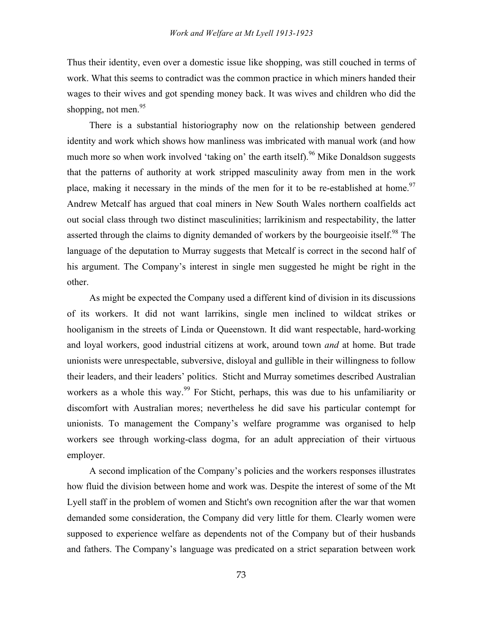Thus their identity, even over a domestic issue like shopping, was still couched in terms of work. What this seems to contradict was the common practice in which miners handed their wages to their wives and got spending money back. It was wives and children who did the shopping, not men.<sup>95</sup>

There is a substantial historiography now on the relationship between gendered identity and work which shows how manliness was imbricated with manual work (and how much more so when work involved 'taking on' the earth itself).<sup>96</sup> Mike Donaldson suggests that the patterns of authority at work stripped masculinity away from men in the work place, making it necessary in the minds of the men for it to be re-established at home.<sup>97</sup> Andrew Metcalf has argued that coal miners in New South Wales northern coalfields act out social class through two distinct masculinities; larrikinism and respectability, the latter asserted through the claims to dignity demanded of workers by the bourgeoisie itself.<sup>98</sup> The language of the deputation to Murray suggests that Metcalf is correct in the second half of his argument. The Company's interest in single men suggested he might be right in the other.

As might be expected the Company used a different kind of division in its discussions of its workers. It did not want larrikins, single men inclined to wildcat strikes or hooliganism in the streets of Linda or Queenstown. It did want respectable, hard-working and loyal workers, good industrial citizens at work, around town *and* at home. But trade unionists were unrespectable, subversive, disloyal and gullible in their willingness to follow their leaders, and their leaders' politics. Sticht and Murray sometimes described Australian workers as a whole this way.<sup>99</sup> For Sticht, perhaps, this was due to his unfamiliarity or discomfort with Australian mores; nevertheless he did save his particular contempt for unionists. To management the Company's welfare programme was organised to help workers see through working-class dogma, for an adult appreciation of their virtuous employer.

A second implication of the Company's policies and the workers responses illustrates how fluid the division between home and work was. Despite the interest of some of the Mt Lyell staff in the problem of women and Sticht's own recognition after the war that women demanded some consideration, the Company did very little for them. Clearly women were supposed to experience welfare as dependents not of the Company but of their husbands and fathers. The Company's language was predicated on a strict separation between work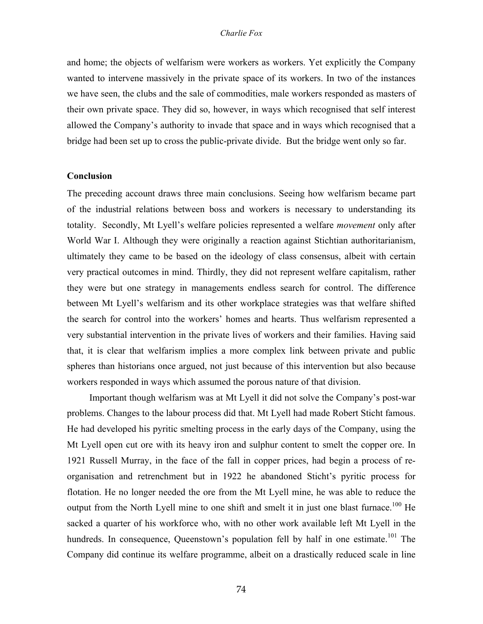and home; the objects of welfarism were workers as workers. Yet explicitly the Company wanted to intervene massively in the private space of its workers. In two of the instances we have seen, the clubs and the sale of commodities, male workers responded as masters of their own private space. They did so, however, in ways which recognised that self interest allowed the Company's authority to invade that space and in ways which recognised that a bridge had been set up to cross the public-private divide. But the bridge went only so far.

# **Conclusion**

The preceding account draws three main conclusions. Seeing how welfarism became part of the industrial relations between boss and workers is necessary to understanding its totality. Secondly, Mt Lyell's welfare policies represented a welfare *movement* only after World War I. Although they were originally a reaction against Stichtian authoritarianism, ultimately they came to be based on the ideology of class consensus, albeit with certain very practical outcomes in mind. Thirdly, they did not represent welfare capitalism, rather they were but one strategy in managements endless search for control. The difference between Mt Lyell's welfarism and its other workplace strategies was that welfare shifted the search for control into the workers' homes and hearts. Thus welfarism represented a very substantial intervention in the private lives of workers and their families. Having said that, it is clear that welfarism implies a more complex link between private and public spheres than historians once argued, not just because of this intervention but also because workers responded in ways which assumed the porous nature of that division.

Important though welfarism was at Mt Lyell it did not solve the Company's post-war problems. Changes to the labour process did that. Mt Lyell had made Robert Sticht famous. He had developed his pyritic smelting process in the early days of the Company, using the Mt Lyell open cut ore with its heavy iron and sulphur content to smelt the copper ore. In 1921 Russell Murray, in the face of the fall in copper prices, had begin a process of reorganisation and retrenchment but in 1922 he abandoned Sticht's pyritic process for flotation. He no longer needed the ore from the Mt Lyell mine, he was able to reduce the output from the North Lyell mine to one shift and smelt it in just one blast furnace.<sup>100</sup> He sacked a quarter of his workforce who, with no other work available left Mt Lyell in the hundreds. In consequence, Queenstown's population fell by half in one estimate.<sup>101</sup> The Company did continue its welfare programme, albeit on a drastically reduced scale in line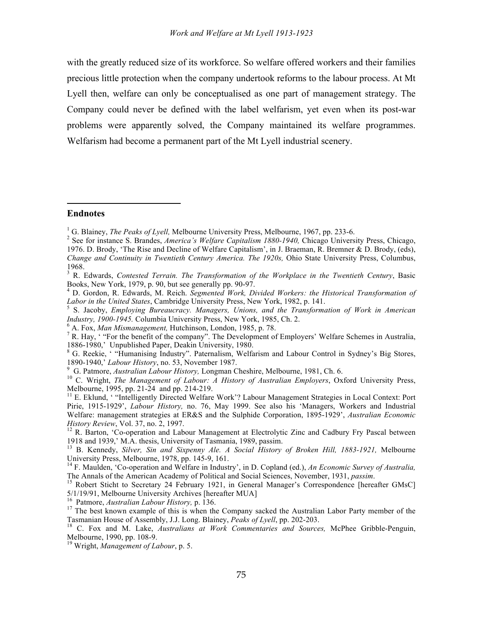with the greatly reduced size of its workforce. So welfare offered workers and their families precious little protection when the company undertook reforms to the labour process. At Mt Lyell then, welfare can only be conceptualised as one part of management strategy. The Company could never be defined with the label welfarism, yet even when its post-war problems were apparently solved, the Company maintained its welfare programmes. Welfarism had become a permanent part of the Mt Lyell industrial scenery.

# **Endnotes**

-

<sup>8</sup> G. Reekie, ' "Humanising Industry". Paternalism, Welfarism and Labour Control in Sydney's Big Stores, 1890-1940,' Labour History, no. 53, November 1987.<br><sup>9</sup> G. Patmore, *Australian Labour History*, Longman Cheshire, Melbourne, 1981, Ch. 6.<br><sup>10</sup> C. Wright, *The Management of Labour: A History of Australian Employers*, Oxfor

Melbourne, 1995, pp. 21-24 and pp. 214-219.<br><sup>11</sup> E. Eklund, ' "Intelligently Directed Welfare Work'? Labour Management Strategies in Local Context: Port

Pirie, 1915-1929', *Labour History,* no. 76, May 1999. See also his 'Managers, Workers and Industrial Welfare: management strategies at ER&S and the Sulphide Corporation, 1895-1929', *Australian Economic*

<sup>12</sup> R. Barton, 'Co-operation and Labour Management at Electrolytic Zinc and Cadbury Fry Pascal between 1918 and 1939,' M.A. thesis, University of Tasmania, 1989, passim.

<sup>13</sup> B. Kennedy, *Silver, Sin and Sixpenny Ale. A Social History of Broken Hill, 1883-1921*, Melbourne University Press, Melbourne, 1978, pp. 145-9, 161.

<sup>14</sup> F. Maulden, 'Co-operation and Welfare in Industry', in D. Copland (ed.), *An Economic Survey of Australia*,

The Annals of the American Academy of Political and Social Sciences, November, 1931, *passim*.<br><sup>15</sup> Robert Sticht to Secretary 24 February 1921, in General Manager's Correspondence [hereafter GMsC]<br>5/1/19/91, Melbourne Uni

<sup>&</sup>lt;sup>1</sup> G. Blainey, *The Peaks of Lyell*, Melbourne University Press, Melbourne, 1967, pp. 233-6.<br><sup>2</sup> See for instance S. Brandes, *America's Welfare Capitalism 1880-1940*, Chicago University Press, Chicago, 1976. D. Brody, 'The Rise and Decline of Welfare Capitalism', in J. Braeman, R. Bremner & D. Brody, (eds), *Change and Continuity in Twentieth Century America. The 1920s,* Ohio State University Press, Columbus,

<sup>1968.</sup> <sup>3</sup> R. Edwards, *Contested Terrain. The Transformation of the Workplace in the Twentieth Century*, Basic Books, New York, 1979, p. 90, but see generally pp. 90-97. <sup>4</sup> D. Gordon, R. Edwards, M. Reich. *Segmented Work, Divided Workers: the Historical Transformation of*

Labor in the United States, Cambridge University Press, New York, 1982, p. 141.<br><sup>5</sup> S. Jacoby, *Employing Bureaucracy*. *Managers, Unions, and the Transformation of Work in American* 

*Industry, 1900-1945.* Columbia University Press, New York, 1985, Ch. 2.<br>
<sup>6</sup> A. Fox, *Man Mismanagement*, Hutchinson, London, 1985, p. 78.<br>
<sup>7</sup> R. Hay, '"For the benefit of the company". The Development of Employers' Wel

<sup>&</sup>lt;sup>16</sup> Patmore, *Australian Labour History*, p. 136.<br><sup>17</sup> The best known example of this is when the Company sacked the Australian Labor Party member of the

Tasmanian House of Assembly, J.J. Long. Blainey, Peaks of Lyell, pp. 202-203.<br><sup>18</sup> C. Fox and M. Lake, *Australians at Work Commentaries and Sources*, McPhee Gribble-Penguin, Melbourne, 1990, pp. 108-9.

<sup>&</sup>lt;sup>19</sup> Wright, *Management of Labour*, p. 5.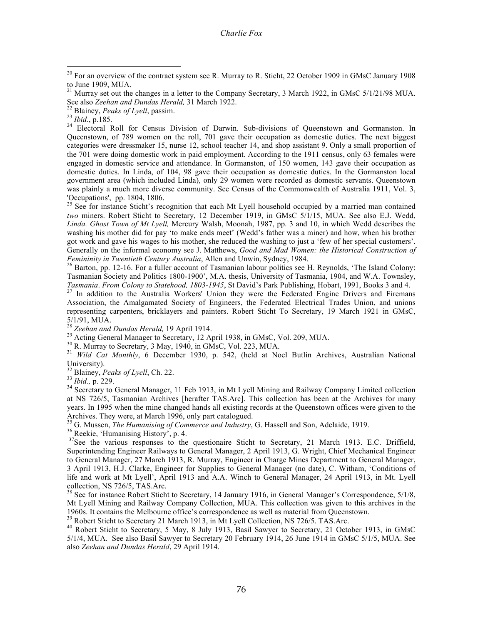Queenstown, of 789 women on the roll, 701 gave their occupation as domestic duties. The next biggest categories were dressmaker 15, nurse 12, school teacher 14, and shop assistant 9. Only a small proportion of the 701 were doing domestic work in paid employment. According to the 1911 census, only 63 females were engaged in domestic service and attendance. In Gormanston, of 150 women, 143 gave their occupation as domestic duties. In Linda, of 104, 98 gave their occupation as domestic duties. In the Gormanston local government area (which included Linda), only 29 women were recorded as domestic servants. Queenstown was plainly a much more diverse community. See Census of the Commonwealth of Australia 1911, Vol. 3,

'Occupations', pp. 1804, 1806. <sup>25</sup> See for instance Sticht's recognition that each Mt Lyell household occupied by <sup>a</sup> married man contained *two* miners. Robert Sticht to Secretary, 12 December 1919, in GMsC 5/1/15, MUA. See also E.J. Wedd, *Linda. Ghost Town of Mt Lyell,* Mercury Walsh, Moonah, 1987, pp. 3 and 10, in which Wedd describes the washing his mother did for pay 'to make ends meet' (Wedd's father was a miner) and how, when his brother got work and gave his wages to his mother, she reduced the washing to just a 'few of her special customers'. Generally on the informal economy see J. Matthews, *Good and Mad Women: the Historical Construction of Femininity in Twentieth Century Australia*, Allen and Unwin, Sydney, 1984.<br><sup>26</sup> Barton, pp. 12-16. For a fuller account of Tasmanian labour politics see H. Reynolds, 'The Island Colony:

Tasmanian Society and Politics 1800-1900', M.A. thesis, University of Tasmania, 1904, and W.A. Townsley,

Tasmania. From Colony to Statehood, 1803-1945, St David's Park Publishing, Hobart, 1991, Books 3 and 4.<br><sup>27</sup> In addition to the Australia Workers' Union they were the Federated Engine Drivers and Firemans Association, the Amalgamated Society of Engineers, the Federated Electrical Trades Union, and unions representing carpenters, bricklayers and painters. Robert Sticht To Secretary, 19 March 1921 in GMsC, 5/1/91, MUA.<br><sup>28</sup> Zeehan and Dundas Herald, 19 April 1914.<br><sup>29</sup> Acting General Manager to Secretary, 12 April 1938, in GMsC, Vol. 209, MUA.<br><sup>30</sup> R. Murray to Secretary, 3 May, 1940, in GMsC, Vol. 223, MUA.<br><sup>31</sup> Wild Cat M

University).<br><sup>32</sup> Blainey, *Peaks of Lyell*, Ch. 22.<br><sup>33</sup> *Ibid.*, p. 229.<br><sup>34</sup> Secretary to General Manager, 11 Feb 1913, in Mt Lyell Mining and Railway Company Limited collection at NS 726/5, Tasmanian Archives [herafter TAS.Arc]. This collection has been at the Archives for many years. In 1995 when the mine changed hands all existing records at the Queenstown offices were given to the Archives. They were, at March 1996, only part catalogued.

<sup>35</sup> G. Mussen, *The Humanising of Commerce and Industry*, G. Hassell and Son, Adelaide, 1919.<br><sup>36</sup> Reekie. 'Humanising History', p. 4.

<sup>37</sup>See the various responses to the questionaire Sticht to Secretary, 21 March 1913. E.C. Driffield, Superintending Engineer Railways to General Manager, 2 April 1913, G. Wright, Chief Mechanical Engineer to General Manager, 27 March 1913, R. Murray, Engineer in Charge Mines Department to General Manager, 3 April 1913, H.J. Clarke, Engineer for Supplies to General Manager (no date), C. Witham, 'Conditions of life and work at Mt Lyell', April 1913 and A.A. Winch to General Manager, 24 April 1913, in Mt. Lyell

 $38$  See for instance Robert Sticht to Secretary, 14 January 1916, in General Manager's Correspondence,  $5/1/8$ , Mt Lyell Mining and Railway Company Collection, MUA. This collection was given to this archives in the

 $^{39}$  Robert Sticht to Secretary 21 March 1913, in Mt Lyell Collection, NS 726/5. TAS.Arc.<br><sup>40</sup> Robert Sticht to Secretary, 5 May, 8 July 1913, Basil Sawyer to Secretary, 21 October 1913, in GMsC 5/1/4, MUA. See also Basil Sawyer to Secretary 20 February 1914, 26 June 1914 in GMsC 5/1/5, MUA. See also *Zeehan and Dundas Herald*, 29 April 1914.

 $20$  For an overview of the contract system see R. Murray to R. Sticht, 22 October 1909 in GMsC January 1908 to June 1909, MUA.

<sup>&</sup>lt;sup>21</sup> Murray set out the changes in a letter to the Company Secretary, 3 March 1922, in GMsC  $5/1/21/98$  MUA. See also Zeehan and Dundas Herald, 31 March 1922.<br><sup>22</sup> Blainey, *Peaks of Lyell*, passim.<br><sup>23</sup> Ibid., p.185.<br><sup>24</sup> Electoral Roll for Census Division of Darwin. Sub-divisions of Queenstown and Gormanston. In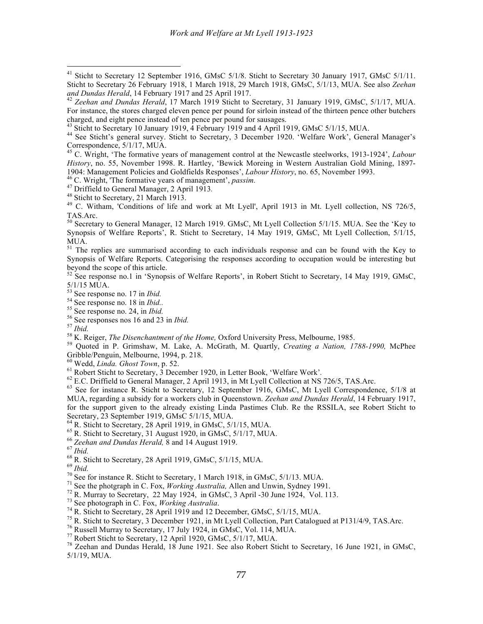MUA, regarding a subsidy for a workers club in Queenstown. *Zeehan and Dundas Herald*, 14 February 1917, for the support given to the already existing Linda Pastimes Club. Re the RSSILA, see Robert Sticht to Secretary, 23 September 1919, GMsC 5/1/15, MUA. Secretary, 23 September 1919, GMsC 5/1/15, MUA.<br>
<sup>64</sup> R. Sticht to Secretary, 28 April 1919, in GMsC, 5/1/15, MUA.<br>
<sup>65</sup> R. Sticht to Secretary, 28 April 1919, in GMsC, 5/1/17, MUA.<br>
<sup>67</sup> *Boshan and Dundas Herald*, 8 and

Sticht to Secretary 12 September 1916, GMsC 5/1/8. Sticht to Secretary 30 January 1917, GMsC 5/1/11. Sticht to Secretary 26 February 1918, 1 March 1918, 29 March 1918, GMsC, 5/1/13, MUA. See also *Zeehan*

<sup>&</sup>lt;sup>42</sup> Zeehan and Dundas Herald, 17 March 1919 Sticht to Secretary, 31 January 1919, GMsC, 5/1/17, MUA. For instance, the stores charged eleven pence per pound for sirloin instead of the thirteen pence other butchers charged, and eight pence instead of ten pence per pound for sausages.

<sup>&</sup>lt;sup>43</sup> Sticht to Secretary 10 January 1919,  $\hat{4}$  February 1919 and 4 April 1919, GMsC 5/1/15, MUA.<br><sup>44</sup> See Sticht's general survey. Sticht to Secretary, 3 December 1920. 'Welfare Work', General Manager's

Correspondence, 5/1/17, MUA. <sup>45</sup> C. Wright, 'The formative years of management control at the Newcastle steelworks, 1913-1924', *Labour History*, no. 55, November 1998. R. Hartley, 'Bewick Moreing in Western Australian Gold Mining, 1897-1904: Management Policies and Goldfields Responses', *Labour History*, no. 65, November 1993.

<sup>&</sup>lt;sup>46</sup> C. Wright, 'The formative years of management', *passim*.<br><sup>47</sup> Driffield to General Manager, 2 April 1913.<br><sup>48</sup> Sticht to Secretary, 21 March 1913.<br><sup>49</sup> C. Witham, 'Conditions of life and work at Mt Lyell', April 191

TAS.Arc. <sup>50</sup> Secretary to General Manager, <sup>12</sup> March 1919. GMsC, Mt Lyell Collection 5/1/15. MUA. See the 'Key to Synopsis of Welfare Reports', R. Sticht to Secretary, 14 May 1919, GMsC, Mt Lyell Collection, 5/1/15, MUA.<br><sup>51</sup> The replies are summarised according to each individuals response and can be found with the Key to

Synopsis of Welfare Reports. Categorising the responses according to occupation would be interesting but beyond the scope of this article.<br><sup>52</sup> See response no.1 in 'Synopsis of Welfare Reports', in Robert Sticht to Secretary, 14 May 1919, GMsC,

 $5/1/15$  MUA.<br>
<sup>53</sup> See response no. 17 in *Ibid.*<br>
<sup>54</sup> See response no. 18 in *Ibid.*<br>
<sup>55</sup> See response no. 24, in *Ibid.*<br>
<sup>56</sup> See responses nos 16 and 23 in *Ibid.*<br>
<sup>57</sup> *Ibid.*<br>
<sup>58</sup> K. Reiger, *The Disenchantment* Gribble/Penguin, Melbourne, 1994, p. 218.<br><sup>60</sup> Wedd, *Linda. Ghost Town*, p. 52.<br><sup>61</sup> Robert Sticht to Secretary, 3 December 1920, in Letter Book, 'Welfare Work'.<br><sup>62</sup> E.C. Driffield to General Manager, 2 April 1913, in Mt

<sup>5/1/19,</sup> MUA.